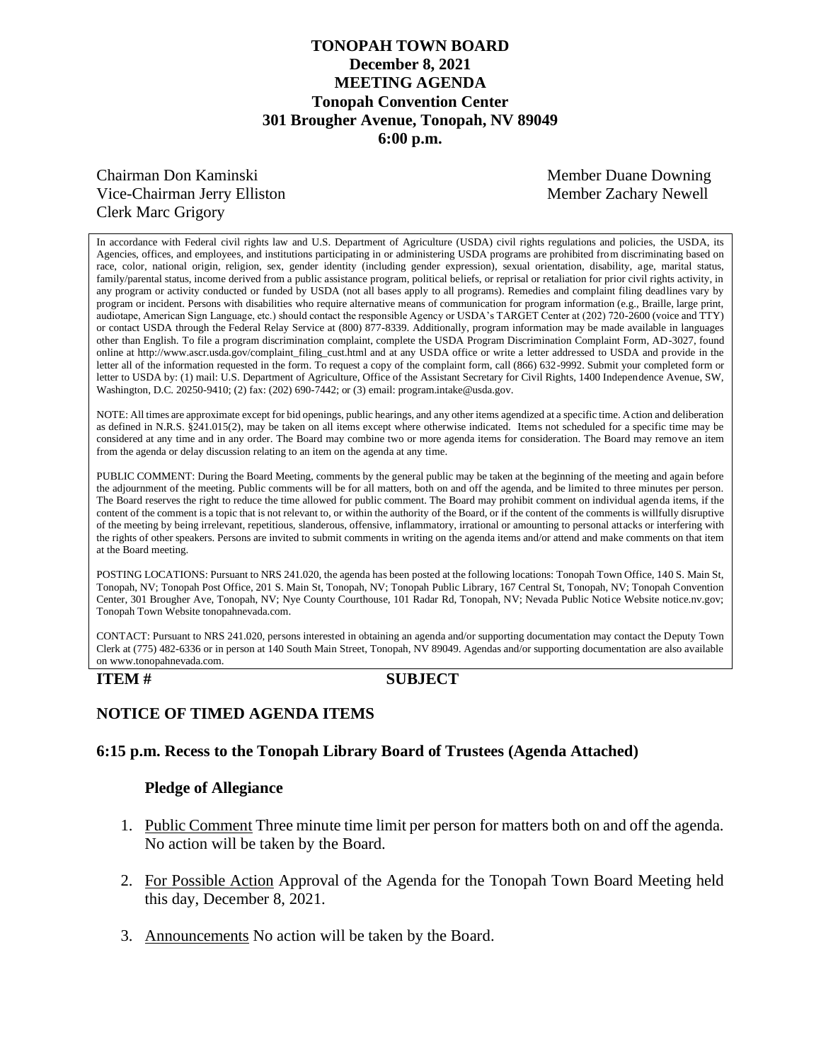## **TONOPAH TOWN BOARD December 8, 2021 MEETING AGENDA Tonopah Convention Center 301 Brougher Avenue, Tonopah, NV 89049 6:00 p.m.**

# Chairman Don Kaminski Member Duane Downing Vice-Chairman Jerry Elliston **Member 2 Member Zachary Newell** Clerk Marc Grigory

In accordance with Federal civil rights law and U.S. Department of Agriculture (USDA) civil rights regulations and policies, the USDA, its Agencies, offices, and employees, and institutions participating in or administering USDA programs are prohibited from discriminating based on race, color, national origin, religion, sex, gender identity (including gender expression), sexual orientation, disability, age, marital status, family/parental status, income derived from a public assistance program, political beliefs, or reprisal or retaliation for prior civil rights activity, in any program or activity conducted or funded by USDA (not all bases apply to all programs). Remedies and complaint filing deadlines vary by program or incident. Persons with disabilities who require alternative means of communication for program information (e.g., Braille, large print, audiotape, American Sign Language, etc.) should contact the responsible Agency or USDA's TARGET Center at (202) 720-2600 (voice and TTY) or contact USDA through the Federal Relay Service at (800) 877-8339. Additionally, program information may be made available in languages other than English. To file a program discrimination complaint, complete the USDA Program Discrimination Complaint Form, AD-3027, found online at http://www.ascr.usda.gov/complaint\_filing\_cust.html and at any USDA office or write a letter addressed to USDA and provide in the letter all of the information requested in the form. To request a copy of the complaint form, call (866) 632-9992. Submit your completed form or letter to USDA by: (1) mail: U.S. Department of Agriculture, Office of the Assistant Secretary for Civil Rights, 1400 Independence Avenue, SW, Washington, D.C. 20250-9410; (2) fax: (202) 690-7442; or (3) email: program.intake@usda.gov.

NOTE: All times are approximate except for bid openings, public hearings, and any other items agendized at a specific time. Action and deliberation as defined in N.R.S. §241.015(2), may be taken on all items except where otherwise indicated. Items not scheduled for a specific time may be considered at any time and in any order. The Board may combine two or more agenda items for consideration. The Board may remove an item from the agenda or delay discussion relating to an item on the agenda at any time.

PUBLIC COMMENT: During the Board Meeting, comments by the general public may be taken at the beginning of the meeting and again before the adjournment of the meeting. Public comments will be for all matters, both on and off the agenda, and be limited to three minutes per person. The Board reserves the right to reduce the time allowed for public comment. The Board may prohibit comment on individual agenda items, if the content of the comment is a topic that is not relevant to, or within the authority of the Board, or if the content of the comments is willfully disruptive of the meeting by being irrelevant, repetitious, slanderous, offensive, inflammatory, irrational or amounting to personal attacks or interfering with the rights of other speakers. Persons are invited to submit comments in writing on the agenda items and/or attend and make comments on that item at the Board meeting.

POSTING LOCATIONS: Pursuant to NRS 241.020, the agenda has been posted at the following locations: Tonopah Town Office, 140 S. Main St, Tonopah, NV; Tonopah Post Office, 201 S. Main St, Tonopah, NV; Tonopah Public Library, 167 Central St, Tonopah, NV; Tonopah Convention Center, 301 Brougher Ave, Tonopah, NV; Nye County Courthouse, 101 Radar Rd, Tonopah, NV; Nevada Public Notice Website notice.nv.gov; Tonopah Town Website tonopahnevada.com.

CONTACT: Pursuant to NRS 241.020, persons interested in obtaining an agenda and/or supporting documentation may contact the Deputy Town Clerk at (775) 482-6336 or in person at 140 South Main Street, Tonopah, NV 89049. Agendas and/or supporting documentation are also available on www.tonopahnevada.com.

## **ITEM # SUBJECT**

# **NOTICE OF TIMED AGENDA ITEMS**

## **6:15 p.m. Recess to the Tonopah Library Board of Trustees (Agenda Attached)**

## **Pledge of Allegiance**

- 1. Public Comment Three minute time limit per person for matters both on and off the agenda. No action will be taken by the Board.
- 2. For Possible Action Approval of the Agenda for the Tonopah Town Board Meeting held this day, December 8, 2021.
- 3. Announcements No action will be taken by the Board.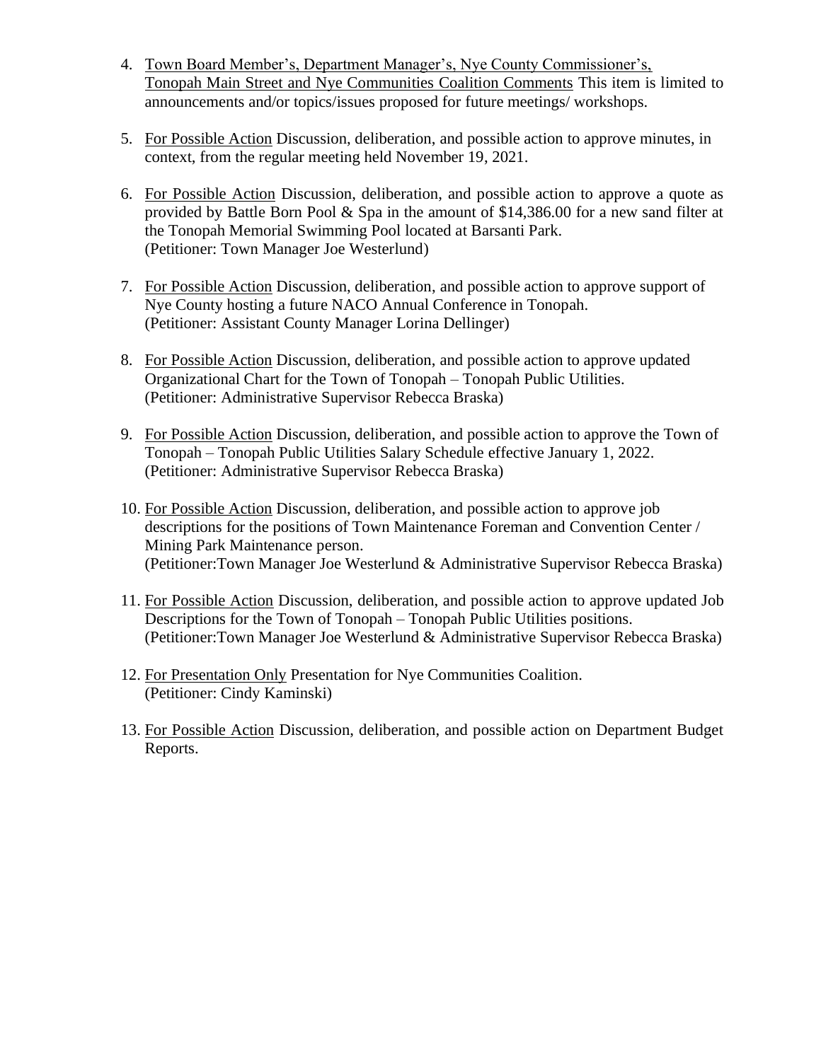- 4. Town Board Member's, Department Manager's, Nye County Commissioner's, Tonopah Main Street and Nye Communities Coalition Comments This item is limited to announcements and/or topics/issues proposed for future meetings/ workshops.
- 5. For Possible Action Discussion, deliberation, and possible action to approve minutes, in context, from the regular meeting held November 19, 2021.
- 6. For Possible Action Discussion, deliberation, and possible action to approve a quote as provided by Battle Born Pool & Spa in the amount of \$14,386.00 for a new sand filter at the Tonopah Memorial Swimming Pool located at Barsanti Park. (Petitioner: Town Manager Joe Westerlund)
- 7. For Possible Action Discussion, deliberation, and possible action to approve support of Nye County hosting a future NACO Annual Conference in Tonopah. (Petitioner: Assistant County Manager Lorina Dellinger)
- 8. For Possible Action Discussion, deliberation, and possible action to approve updated Organizational Chart for the Town of Tonopah – Tonopah Public Utilities. (Petitioner: Administrative Supervisor Rebecca Braska)
- 9. For Possible Action Discussion, deliberation, and possible action to approve the Town of Tonopah – Tonopah Public Utilities Salary Schedule effective January 1, 2022. (Petitioner: Administrative Supervisor Rebecca Braska)
- 10. For Possible Action Discussion, deliberation, and possible action to approve job descriptions for the positions of Town Maintenance Foreman and Convention Center / Mining Park Maintenance person. (Petitioner:Town Manager Joe Westerlund & Administrative Supervisor Rebecca Braska)
- 11. For Possible Action Discussion, deliberation, and possible action to approve updated Job Descriptions for the Town of Tonopah – Tonopah Public Utilities positions. (Petitioner:Town Manager Joe Westerlund & Administrative Supervisor Rebecca Braska)
- 12. For Presentation Only Presentation for Nye Communities Coalition. (Petitioner: Cindy Kaminski)
- 13. For Possible Action Discussion, deliberation, and possible action on Department Budget Reports.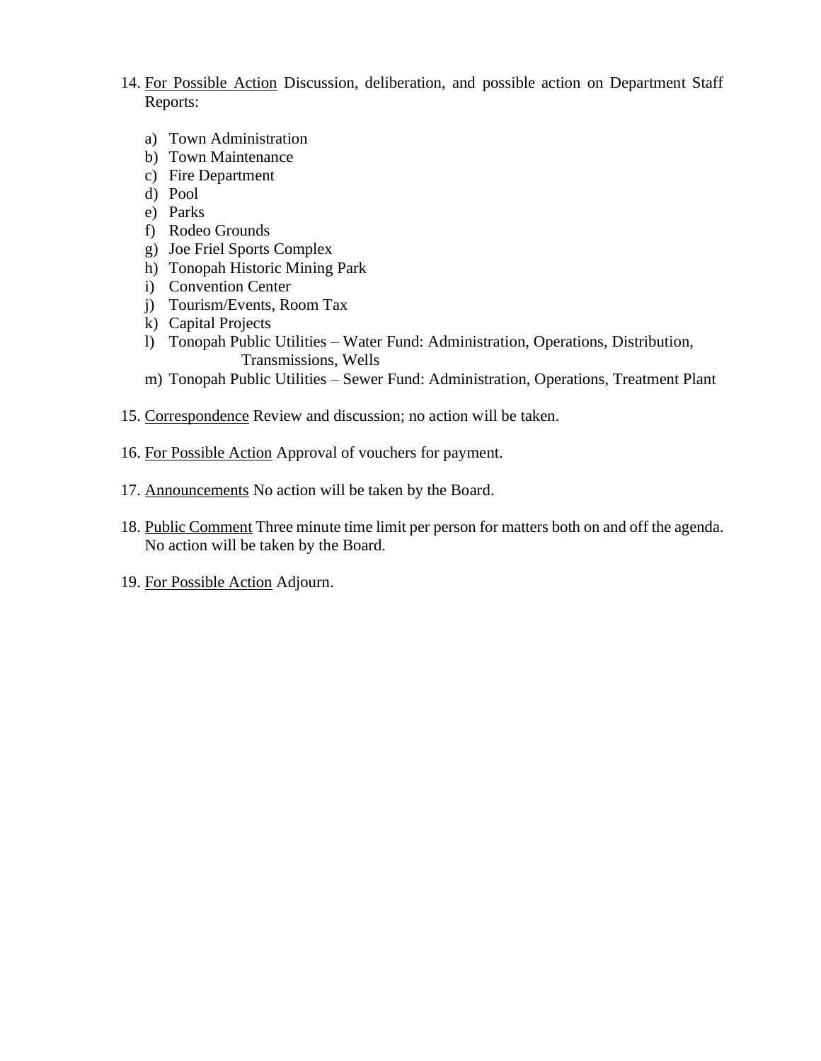- 14. For Possible Action Discussion, deliberation, and possible action on Department Staff Reports:
	- a) Town Administration
	- b) Town Maintenance
	- c) Fire Department
	- d) Pool
	- e) Parks
	- f) Rodeo Grounds
	- g) Joe Friel Sports Complex
	- h) Tonopah Historic Mining Park
	- i) Convention Center
	- j) Tourism/Events, Room Tax
	- k) Capital Projects
	- l) Tonopah Public Utilities Water Fund: Administration, Operations, Distribution, Transmissions, Wells
	- m) Tonopah Public Utilities Sewer Fund: Administration, Operations, Treatment Plant
- 15. Correspondence Review and discussion; no action will be taken.
- 16. For Possible Action Approval of vouchers for payment.
- 17. Announcements No action will be taken by the Board.
- 18. Public Comment Three minute time limit per person for matters both on and off the agenda. No action will be taken by the Board.
- 19. For Possible Action Adjourn.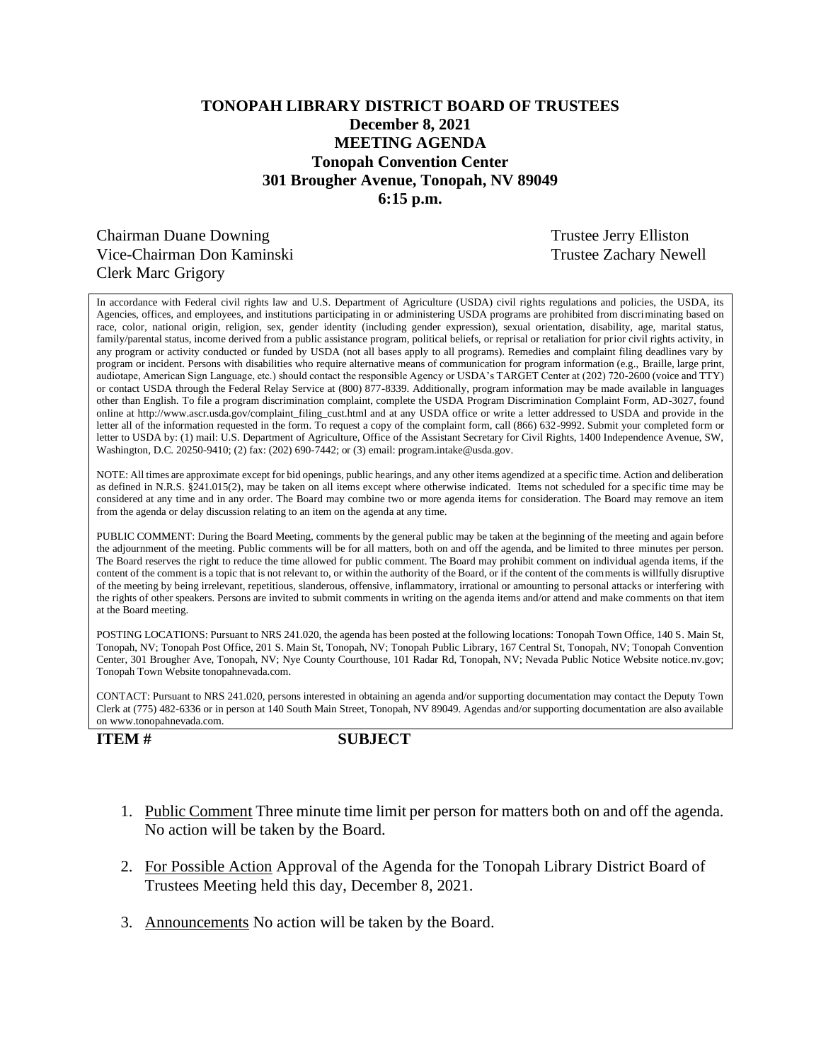## **TONOPAH LIBRARY DISTRICT BOARD OF TRUSTEES December 8, 2021 MEETING AGENDA Tonopah Convention Center 301 Brougher Avenue, Tonopah, NV 89049 6:15 p.m.**

Chairman Duane Downing Trustee Jerry Elliston Vice-Chairman Don Kaminski Trustee Zachary Newell Clerk Marc Grigory

In accordance with Federal civil rights law and U.S. Department of Agriculture (USDA) civil rights regulations and policies, the USDA, its Agencies, offices, and employees, and institutions participating in or administering USDA programs are prohibited from discriminating based on race, color, national origin, religion, sex, gender identity (including gender expression), sexual orientation, disability, age, marital status, family/parental status, income derived from a public assistance program, political beliefs, or reprisal or retaliation for prior civil rights activity, in any program or activity conducted or funded by USDA (not all bases apply to all programs). Remedies and complaint filing deadlines vary by program or incident. Persons with disabilities who require alternative means of communication for program information (e.g., Braille, large print, audiotape, American Sign Language, etc.) should contact the responsible Agency or USDA's TARGET Center at (202) 720-2600 (voice and TTY) or contact USDA through the Federal Relay Service at (800) 877-8339. Additionally, program information may be made available in languages other than English. To file a program discrimination complaint, complete the USDA Program Discrimination Complaint Form, AD-3027, found online at http://www.ascr.usda.gov/complaint\_filing\_cust.html and at any USDA office or write a letter addressed to USDA and provide in the letter all of the information requested in the form. To request a copy of the complaint form, call (866) 632-9992. Submit your completed form or letter to USDA by: (1) mail: U.S. Department of Agriculture, Office of the Assistant Secretary for Civil Rights, 1400 Independence Avenue, SW, Washington, D.C. 20250-9410; (2) fax: (202) 690-7442; or (3) email: program.intake@usda.gov.

NOTE: All times are approximate except for bid openings, public hearings, and any other items agendized at a specific time. Action and deliberation as defined in N.R.S. §241.015(2), may be taken on all items except where otherwise indicated. Items not scheduled for a specific time may be considered at any time and in any order. The Board may combine two or more agenda items for consideration. The Board may remove an item from the agenda or delay discussion relating to an item on the agenda at any time.

PUBLIC COMMENT: During the Board Meeting, comments by the general public may be taken at the beginning of the meeting and again before the adjournment of the meeting. Public comments will be for all matters, both on and off the agenda, and be limited to three minutes per person. The Board reserves the right to reduce the time allowed for public comment. The Board may prohibit comment on individual agenda items, if the content of the comment is a topic that is not relevant to, or within the authority of the Board, or if the content of the comments is willfully disruptive of the meeting by being irrelevant, repetitious, slanderous, offensive, inflammatory, irrational or amounting to personal attacks or interfering with the rights of other speakers. Persons are invited to submit comments in writing on the agenda items and/or attend and make comments on that item at the Board meeting.

POSTING LOCATIONS: Pursuant to NRS 241.020, the agenda has been posted at the following locations: Tonopah Town Office, 140 S. Main St, Tonopah, NV; Tonopah Post Office, 201 S. Main St, Tonopah, NV; Tonopah Public Library, 167 Central St, Tonopah, NV; Tonopah Convention Center, 301 Brougher Ave, Tonopah, NV; Nye County Courthouse, 101 Radar Rd, Tonopah, NV; Nevada Public Notice Website notice.nv.gov; Tonopah Town Website tonopahnevada.com.

CONTACT: Pursuant to NRS 241.020, persons interested in obtaining an agenda and/or supporting documentation may contact the Deputy Town Clerk at (775) 482-6336 or in person at 140 South Main Street, Tonopah, NV 89049. Agendas and/or supporting documentation are also available on www.tonopahnevada.com.

### **ITEM # SUBJECT**

- 1. Public Comment Three minute time limit per person for matters both on and off the agenda. No action will be taken by the Board.
- 2. For Possible Action Approval of the Agenda for the Tonopah Library District Board of Trustees Meeting held this day, December 8, 2021.
- 3. Announcements No action will be taken by the Board.